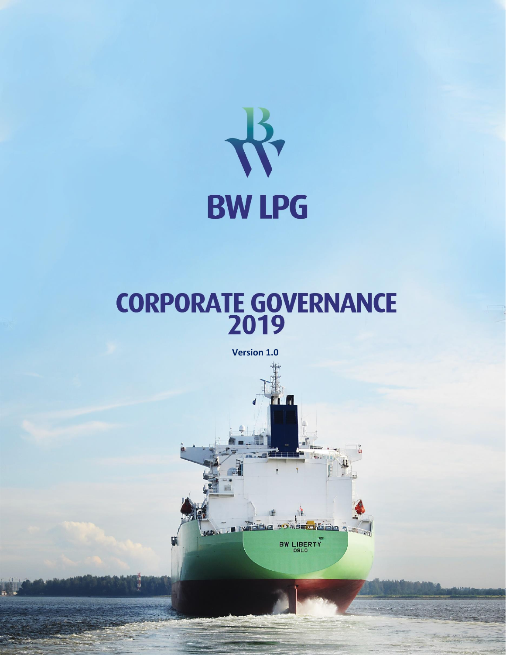

# **CORPORATE GOVERNANCE**

**Version 1.0**



Version 1.0 P a g e | **1**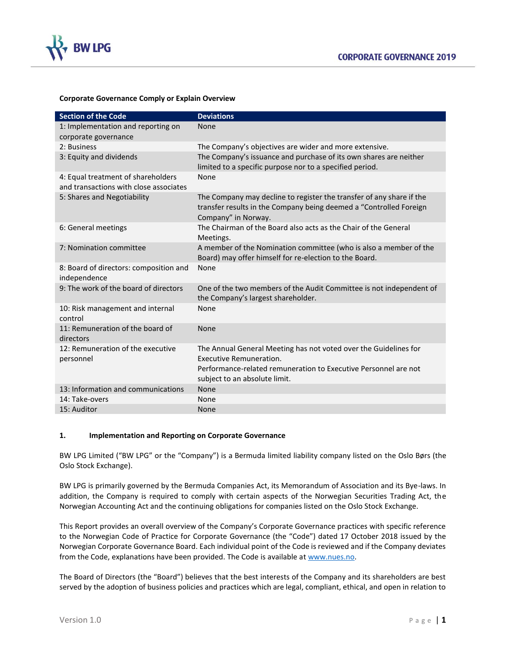

#### **Corporate Governance Comply or Explain Overview**

| <b>Section of the Code</b>                                                   | <b>Deviations</b>                                                                                                                                                                               |
|------------------------------------------------------------------------------|-------------------------------------------------------------------------------------------------------------------------------------------------------------------------------------------------|
| 1: Implementation and reporting on                                           | None                                                                                                                                                                                            |
| corporate governance                                                         |                                                                                                                                                                                                 |
| 2: Business                                                                  | The Company's objectives are wider and more extensive.                                                                                                                                          |
| 3: Equity and dividends                                                      | The Company's issuance and purchase of its own shares are neither<br>limited to a specific purpose nor to a specified period.                                                                   |
| 4: Equal treatment of shareholders<br>and transactions with close associates | None                                                                                                                                                                                            |
| 5: Shares and Negotiability                                                  | The Company may decline to register the transfer of any share if the<br>transfer results in the Company being deemed a "Controlled Foreign<br>Company" in Norway.                               |
| 6: General meetings                                                          | The Chairman of the Board also acts as the Chair of the General<br>Meetings.                                                                                                                    |
| 7: Nomination committee                                                      | A member of the Nomination committee (who is also a member of the<br>Board) may offer himself for re-election to the Board.                                                                     |
| 8: Board of directors: composition and<br>independence                       | None                                                                                                                                                                                            |
| 9: The work of the board of directors                                        | One of the two members of the Audit Committee is not independent of<br>the Company's largest shareholder.                                                                                       |
| 10: Risk management and internal<br>control                                  | None                                                                                                                                                                                            |
| 11: Remuneration of the board of<br>directors                                | None                                                                                                                                                                                            |
| 12: Remuneration of the executive<br>personnel                               | The Annual General Meeting has not voted over the Guidelines for<br>Executive Remuneration.<br>Performance-related remuneration to Executive Personnel are not<br>subject to an absolute limit. |
| 13: Information and communications                                           | None                                                                                                                                                                                            |
| 14: Take-overs                                                               | None                                                                                                                                                                                            |
| 15: Auditor                                                                  | <b>None</b>                                                                                                                                                                                     |

## **1. Implementation and Reporting on Corporate Governance**

BW LPG Limited ("BW LPG" or the "Company") is a Bermuda limited liability company listed on the Oslo Børs (the Oslo Stock Exchange).

BW LPG is primarily governed by the Bermuda Companies Act, its Memorandum of Association and its Bye-laws. In addition, the Company is required to comply with certain aspects of the Norwegian Securities Trading Act, the Norwegian Accounting Act and the continuing obligations for companies listed on the Oslo Stock Exchange.

This Report provides an overall overview of the Company's Corporate Governance practices with specific reference to the Norwegian Code of Practice for Corporate Governance (the "Code") dated 17 October 2018 issued by the Norwegian Corporate Governance Board. Each individual point of the Code is reviewed and if the Company deviates from the Code, explanations have been provided. The Code is available a[t www.nues.no.](http://www.nues.no/)

The Board of Directors (the "Board") believes that the best interests of the Company and its shareholders are best served by the adoption of business policies and practices which are legal, compliant, ethical, and open in relation to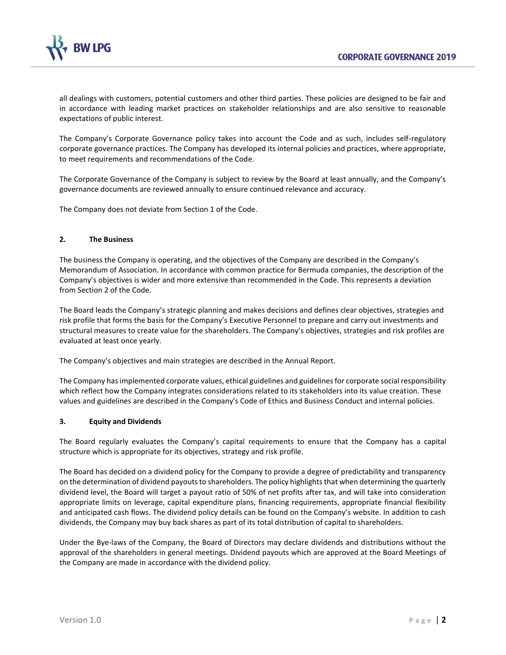

all dealings with customers, potential customers and other third parties. These policies are designed to be fair and in accordance with leading market practices on stakeholder relationships and are also sensitive to reasonable expectations of public interest.

The Company's Corporate Governance policy takes into account the Code and as such, includes self-regulatory corporate governance practices. The Company has developed its internal policies and practices, where appropriate, to meet requirements and recommendations of the Code.

The Corporate Governance of the Company is subject to review by the Board at least annually, and the Company's governance documents are reviewed annually to ensure continued relevance and accuracy.

The Company does not deviate from Section 1 of the Code.

## **2. The Business**

The business the Company is operating, and the objectives of the Company are described in the Company's Memorandum of Association. In accordance with common practice for Bermuda companies, the description of the Company's objectives is wider and more extensive than recommended in the Code. This represents a deviation from Section 2 of the Code.

The Board leads the Company's strategic planning and makes decisions and defines clear objectives, strategies and risk profile that forms the basis for the Company's Executive Personnel to prepare and carry out investments and structural measures to create value for the shareholders. The Company's objectives, strategies and risk profiles are evaluated at least once yearly.

The Company's objectives and main strategies are described in the Annual Report.

The Company has implemented corporate values, ethical guidelines and guidelines for corporate social responsibility which reflect how the Company integrates considerations related to its stakeholders into its value creation. These values and guidelines are described in the Company's Code of Ethics and Business Conduct and internal policies.

## **3. Equity and Dividends**

The Board regularly evaluates the Company's capital requirements to ensure that the Company has a capital structure which is appropriate for its objectives, strategy and risk profile.

The Board has decided on a dividend policy for the Company to provide a degree of predictability and transparency on the determination of dividend payouts to shareholders. The policy highlights that when determining the quarterly dividend level, the Board will target a payout ratio of 50% of net profits after tax, and will take into consideration appropriate limits on leverage, capital expenditure plans, financing requirements, appropriate financial flexibility and anticipated cash flows. The dividend policy details can be found on the Company's website. In addition to cash dividends, the Company may buy back shares as part of its total distribution of capital to shareholders.

Under the Bye-laws of the Company, the Board of Directors may declare dividends and distributions without the approval of the shareholders in general meetings. Dividend payouts which are approved at the Board Meetings of the Company are made in accordance with the dividend policy.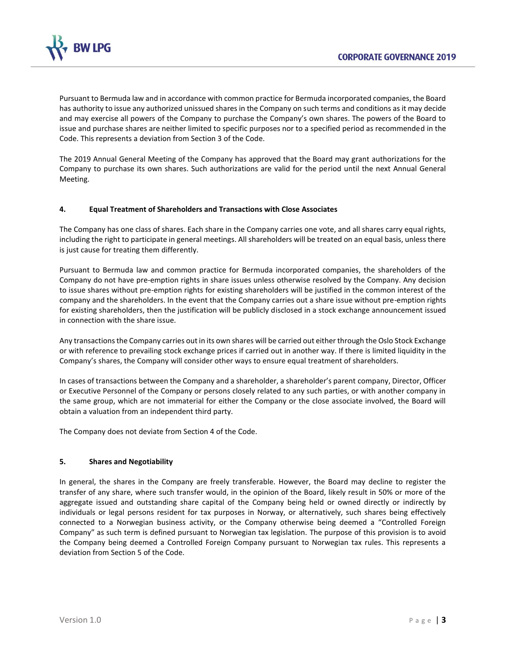

Pursuant to Bermuda law and in accordance with common practice for Bermuda incorporated companies, the Board has authority to issue any authorized unissued shares in the Company on such terms and conditions as it may decide and may exercise all powers of the Company to purchase the Company's own shares. The powers of the Board to issue and purchase shares are neither limited to specific purposes nor to a specified period as recommended in the Code. This represents a deviation from Section 3 of the Code.

The 2019 Annual General Meeting of the Company has approved that the Board may grant authorizations for the Company to purchase its own shares. Such authorizations are valid for the period until the next Annual General Meeting.

## **4. Equal Treatment of Shareholders and Transactions with Close Associates**

The Company has one class of shares. Each share in the Company carries one vote, and all shares carry equal rights, including the right to participate in general meetings. All shareholders will be treated on an equal basis, unless there is just cause for treating them differently.

Pursuant to Bermuda law and common practice for Bermuda incorporated companies, the shareholders of the Company do not have pre-emption rights in share issues unless otherwise resolved by the Company. Any decision to issue shares without pre-emption rights for existing shareholders will be justified in the common interest of the company and the shareholders. In the event that the Company carries out a share issue without pre-emption rights for existing shareholders, then the justification will be publicly disclosed in a stock exchange announcement issued in connection with the share issue.

Any transactions the Company carries out in its own shares will be carried out either through the Oslo Stock Exchange or with reference to prevailing stock exchange prices if carried out in another way. If there is limited liquidity in the Company's shares, the Company will consider other ways to ensure equal treatment of shareholders.

In cases of transactions between the Company and a shareholder, a shareholder's parent company, Director, Officer or Executive Personnel of the Company or persons closely related to any such parties, or with another company in the same group, which are not immaterial for either the Company or the close associate involved, the Board will obtain a valuation from an independent third party.

The Company does not deviate from Section 4 of the Code.

## **5. Shares and Negotiability**

In general, the shares in the Company are freely transferable. However, the Board may decline to register the transfer of any share, where such transfer would, in the opinion of the Board, likely result in 50% or more of the aggregate issued and outstanding share capital of the Company being held or owned directly or indirectly by individuals or legal persons resident for tax purposes in Norway, or alternatively, such shares being effectively connected to a Norwegian business activity, or the Company otherwise being deemed a "Controlled Foreign Company" as such term is defined pursuant to Norwegian tax legislation. The purpose of this provision is to avoid the Company being deemed a Controlled Foreign Company pursuant to Norwegian tax rules. This represents a deviation from Section 5 of the Code.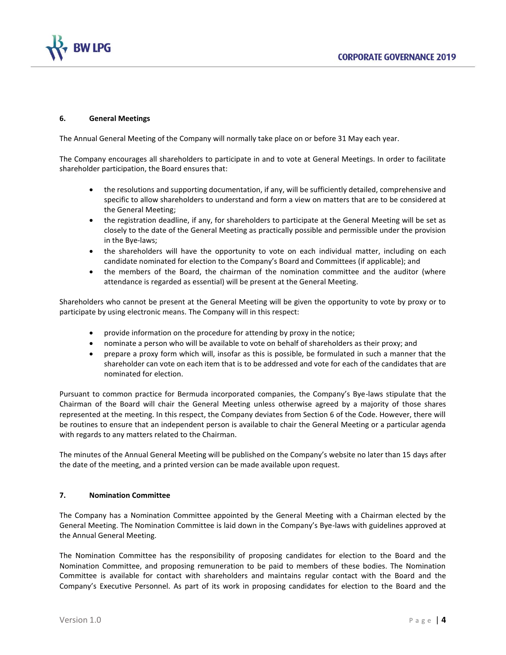

## **6. General Meetings**

The Annual General Meeting of the Company will normally take place on or before 31 May each year.

The Company encourages all shareholders to participate in and to vote at General Meetings. In order to facilitate shareholder participation, the Board ensures that:

- the resolutions and supporting documentation, if any, will be sufficiently detailed, comprehensive and specific to allow shareholders to understand and form a view on matters that are to be considered at the General Meeting;
- the registration deadline, if any, for shareholders to participate at the General Meeting will be set as closely to the date of the General Meeting as practically possible and permissible under the provision in the Bye-laws;
- the shareholders will have the opportunity to vote on each individual matter, including on each candidate nominated for election to the Company's Board and Committees (if applicable); and
- the members of the Board, the chairman of the nomination committee and the auditor (where attendance is regarded as essential) will be present at the General Meeting.

Shareholders who cannot be present at the General Meeting will be given the opportunity to vote by proxy or to participate by using electronic means. The Company will in this respect:

- provide information on the procedure for attending by proxy in the notice;
- nominate a person who will be available to vote on behalf of shareholders as their proxy; and
- prepare a proxy form which will, insofar as this is possible, be formulated in such a manner that the shareholder can vote on each item that is to be addressed and vote for each of the candidates that are nominated for election.

Pursuant to common practice for Bermuda incorporated companies, the Company's Bye-laws stipulate that the Chairman of the Board will chair the General Meeting unless otherwise agreed by a majority of those shares represented at the meeting. In this respect, the Company deviates from Section 6 of the Code. However, there will be routines to ensure that an independent person is available to chair the General Meeting or a particular agenda with regards to any matters related to the Chairman.

The minutes of the Annual General Meeting will be published on the Company's website no later than 15 days after the date of the meeting, and a printed version can be made available upon request.

## **7. Nomination Committee**

The Company has a Nomination Committee appointed by the General Meeting with a Chairman elected by the General Meeting. The Nomination Committee is laid down in the Company's Bye-laws with guidelines approved at the Annual General Meeting.

The Nomination Committee has the responsibility of proposing candidates for election to the Board and the Nomination Committee, and proposing remuneration to be paid to members of these bodies. The Nomination Committee is available for contact with shareholders and maintains regular contact with the Board and the Company's Executive Personnel. As part of its work in proposing candidates for election to the Board and the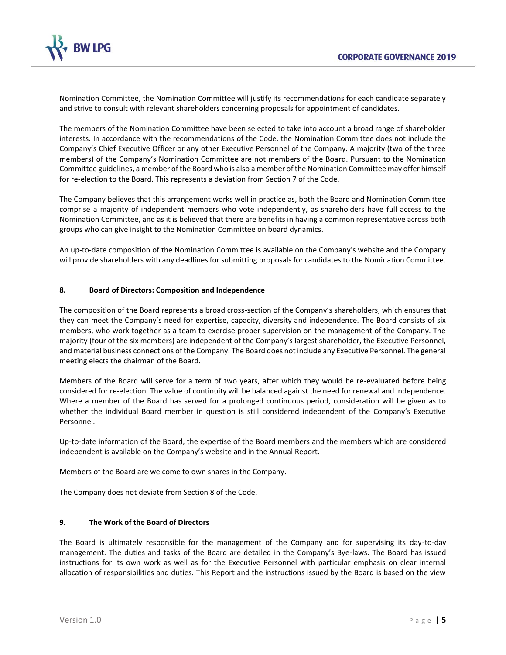

Nomination Committee, the Nomination Committee will justify its recommendations for each candidate separately and strive to consult with relevant shareholders concerning proposals for appointment of candidates.

The members of the Nomination Committee have been selected to take into account a broad range of shareholder interests. In accordance with the recommendations of the Code, the Nomination Committee does not include the Company's Chief Executive Officer or any other Executive Personnel of the Company. A majority (two of the three members) of the Company's Nomination Committee are not members of the Board. Pursuant to the Nomination Committee guidelines, a member of the Board who is also a member of the Nomination Committee may offer himself for re-election to the Board. This represents a deviation from Section 7 of the Code.

The Company believes that this arrangement works well in practice as, both the Board and Nomination Committee comprise a majority of independent members who vote independently, as shareholders have full access to the Nomination Committee, and as it is believed that there are benefits in having a common representative across both groups who can give insight to the Nomination Committee on board dynamics.

An up-to-date composition of the Nomination Committee is available on the Company's website and the Company will provide shareholders with any deadlines for submitting proposals for candidates to the Nomination Committee.

## **8. Board of Directors: Composition and Independence**

The composition of the Board represents a broad cross-section of the Company's shareholders, which ensures that they can meet the Company's need for expertise, capacity, diversity and independence. The Board consists of six members, who work together as a team to exercise proper supervision on the management of the Company. The majority (four of the six members) are independent of the Company's largest shareholder, the Executive Personnel, and material business connections of the Company. The Board does not include any Executive Personnel. The general meeting elects the chairman of the Board.

Members of the Board will serve for a term of two years, after which they would be re-evaluated before being considered for re-election. The value of continuity will be balanced against the need for renewal and independence. Where a member of the Board has served for a prolonged continuous period, consideration will be given as to whether the individual Board member in question is still considered independent of the Company's Executive Personnel.

Up-to-date information of the Board, the expertise of the Board members and the members which are considered independent is available on the Company's website and in the Annual Report.

Members of the Board are welcome to own shares in the Company.

The Company does not deviate from Section 8 of the Code.

## **9. The Work of the Board of Directors**

The Board is ultimately responsible for the management of the Company and for supervising its day-to-day management. The duties and tasks of the Board are detailed in the Company's Bye-laws. The Board has issued instructions for its own work as well as for the Executive Personnel with particular emphasis on clear internal allocation of responsibilities and duties. This Report and the instructions issued by the Board is based on the view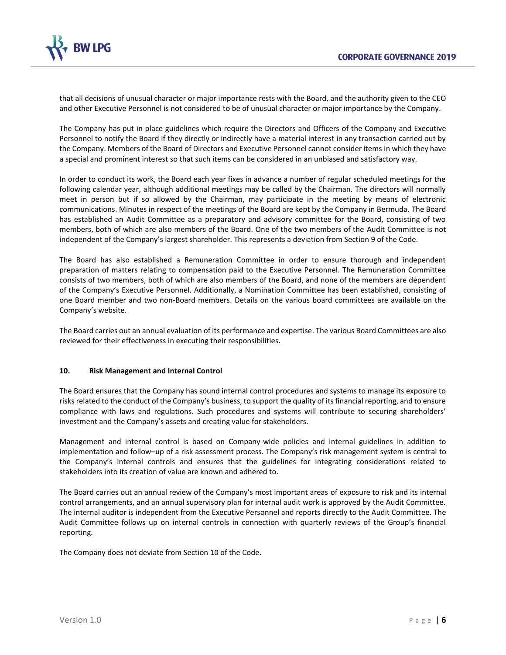

that all decisions of unusual character or major importance rests with the Board, and the authority given to the CEO and other Executive Personnel is not considered to be of unusual character or major importance by the Company.

The Company has put in place guidelines which require the Directors and Officers of the Company and Executive Personnel to notify the Board if they directly or indirectly have a material interest in any transaction carried out by the Company. Members of the Board of Directors and Executive Personnel cannot consider items in which they have a special and prominent interest so that such items can be considered in an unbiased and satisfactory way.

In order to conduct its work, the Board each year fixes in advance a number of regular scheduled meetings for the following calendar year, although additional meetings may be called by the Chairman. The directors will normally meet in person but if so allowed by the Chairman, may participate in the meeting by means of electronic communications. Minutes in respect of the meetings of the Board are kept by the Company in Bermuda. The Board has established an Audit Committee as a preparatory and advisory committee for the Board, consisting of two members, both of which are also members of the Board. One of the two members of the Audit Committee is not independent of the Company's largest shareholder. This represents a deviation from Section 9 of the Code.

The Board has also established a Remuneration Committee in order to ensure thorough and independent preparation of matters relating to compensation paid to the Executive Personnel. The Remuneration Committee consists of two members, both of which are also members of the Board, and none of the members are dependent of the Company's Executive Personnel. Additionally, a Nomination Committee has been established, consisting of one Board member and two non-Board members. Details on the various board committees are available on the Company's website.

The Board carries out an annual evaluation of its performance and expertise. The various Board Committees are also reviewed for their effectiveness in executing their responsibilities.

# **10. Risk Management and Internal Control**

The Board ensures that the Company has sound internal control procedures and systems to manage its exposure to risks related to the conduct of the Company's business, to support the quality of its financial reporting, and to ensure compliance with laws and regulations. Such procedures and systems will contribute to securing shareholders' investment and the Company's assets and creating value for stakeholders.

Management and internal control is based on Company-wide policies and internal guidelines in addition to implementation and follow–up of a risk assessment process. The Company's risk management system is central to the Company's internal controls and ensures that the guidelines for integrating considerations related to stakeholders into its creation of value are known and adhered to.

The Board carries out an annual review of the Company's most important areas of exposure to risk and its internal control arrangements, and an annual supervisory plan for internal audit work is approved by the Audit Committee. The internal auditor is independent from the Executive Personnel and reports directly to the Audit Committee. The Audit Committee follows up on internal controls in connection with quarterly reviews of the Group's financial reporting.

The Company does not deviate from Section 10 of the Code.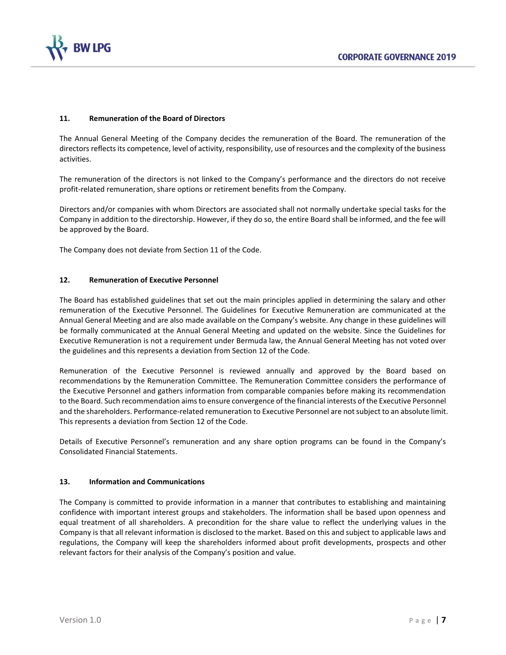

# **11. Remuneration of the Board of Directors**

The Annual General Meeting of the Company decides the remuneration of the Board. The remuneration of the directors reflects its competence, level of activity, responsibility, use of resources and the complexity of the business activities.

The remuneration of the directors is not linked to the Company's performance and the directors do not receive profit-related remuneration, share options or retirement benefits from the Company.

Directors and/or companies with whom Directors are associated shall not normally undertake special tasks for the Company in addition to the directorship. However, if they do so, the entire Board shall be informed, and the fee will be approved by the Board.

The Company does not deviate from Section 11 of the Code.

## **12. Remuneration of Executive Personnel**

The Board has established guidelines that set out the main principles applied in determining the salary and other remuneration of the Executive Personnel. The Guidelines for Executive Remuneration are communicated at the Annual General Meeting and are also made available on the Company's website. Any change in these guidelines will be formally communicated at the Annual General Meeting and updated on the website. Since the Guidelines for Executive Remuneration is not a requirement under Bermuda law, the Annual General Meeting has not voted over the guidelines and this represents a deviation from Section 12 of the Code.

Remuneration of the Executive Personnel is reviewed annually and approved by the Board based on recommendations by the Remuneration Committee. The Remuneration Committee considers the performance of the Executive Personnel and gathers information from comparable companies before making its recommendation to the Board. Such recommendation aims to ensure convergence of the financial interests of the Executive Personnel and the shareholders. Performance-related remuneration to Executive Personnel are not subject to an absolute limit. This represents a deviation from Section 12 of the Code.

Details of Executive Personnel's remuneration and any share option programs can be found in the Company's Consolidated Financial Statements.

## **13. Information and Communications**

The Company is committed to provide information in a manner that contributes to establishing and maintaining confidence with important interest groups and stakeholders. The information shall be based upon openness and equal treatment of all shareholders. A precondition for the share value to reflect the underlying values in the Company is that all relevant information is disclosed to the market. Based on this and subject to applicable laws and regulations, the Company will keep the shareholders informed about profit developments, prospects and other relevant factors for their analysis of the Company's position and value.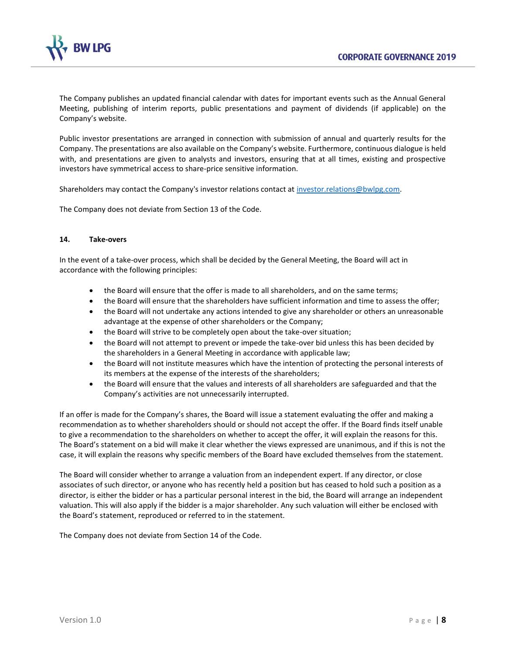

The Company publishes an updated financial calendar with dates for important events such as the Annual General Meeting, publishing of interim reports, public presentations and payment of dividends (if applicable) on the Company's website.

Public investor presentations are arranged in connection with submission of annual and quarterly results for the Company. The presentations are also available on the Company's website. Furthermore, continuous dialogue is held with, and presentations are given to analysts and investors, ensuring that at all times, existing and prospective investors have symmetrical access to share-price sensitive information.

Shareholders may contact the Company's investor relations contact at [investor.relations@bwlpg.com.](file:///C:/Users/NVA/AppData/Local/Microsoft/Windows/INetCache/Content.Outlook/IQ175T6E/investor.relations@bwlpg.com)

The Company does not deviate from Section 13 of the Code.

## **14. Take-overs**

In the event of a take-over process, which shall be decided by the General Meeting, the Board will act in accordance with the following principles:

- the Board will ensure that the offer is made to all shareholders, and on the same terms;
- the Board will ensure that the shareholders have sufficient information and time to assess the offer;
- the Board will not undertake any actions intended to give any shareholder or others an unreasonable advantage at the expense of other shareholders or the Company;
- the Board will strive to be completely open about the take-over situation;
- the Board will not attempt to prevent or impede the take-over bid unless this has been decided by the shareholders in a General Meeting in accordance with applicable law;
- the Board will not institute measures which have the intention of protecting the personal interests of its members at the expense of the interests of the shareholders;
- the Board will ensure that the values and interests of all shareholders are safeguarded and that the Company's activities are not unnecessarily interrupted.

If an offer is made for the Company's shares, the Board will issue a statement evaluating the offer and making a recommendation as to whether shareholders should or should not accept the offer. If the Board finds itself unable to give a recommendation to the shareholders on whether to accept the offer, it will explain the reasons for this. The Board's statement on a bid will make it clear whether the views expressed are unanimous, and if this is not the case, it will explain the reasons why specific members of the Board have excluded themselves from the statement.

The Board will consider whether to arrange a valuation from an independent expert. If any director, or close associates of such director, or anyone who has recently held a position but has ceased to hold such a position as a director, is either the bidder or has a particular personal interest in the bid, the Board will arrange an independent valuation. This will also apply if the bidder is a major shareholder. Any such valuation will either be enclosed with the Board's statement, reproduced or referred to in the statement.

The Company does not deviate from Section 14 of the Code.